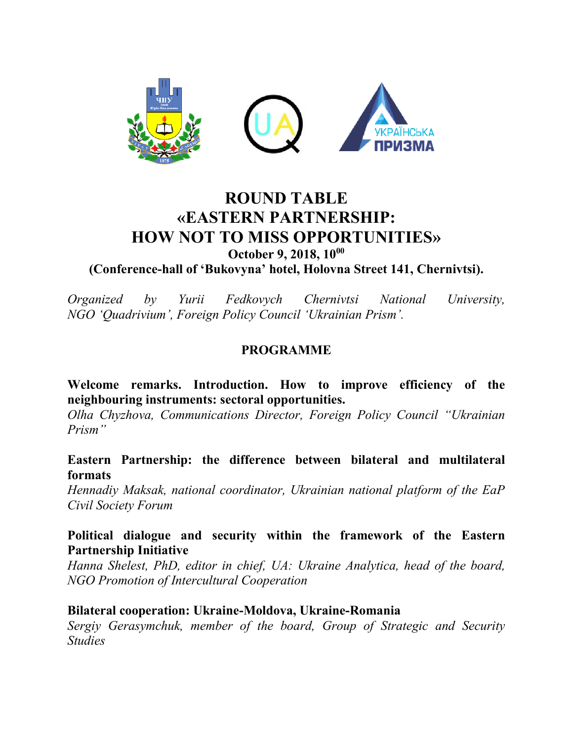

# **ROUND TABLE «EASTERN PARTNERSHIP: HOW NOT TO MISS OPPORTUNITIES» October 9, 2018, 10<sup>00</sup>**

**(Conference-hall of 'Bukovyna' hotel, Holovna Street 141, Chernivtsi).**

*Organized by Yurii Fedkovych Chernivtsi National University, NGO 'Quadrivium', Foreign Policy Council 'Ukrainian Prism'.*

## **PROGRAMME**

**Welcome remarks. Introduction. How to improve efficiency of the neighbouring instruments: sectoral opportunities.** 

*Olha Chyzhova, Communications Director, Foreign Policy Council "Ukrainian Prism"*

#### **Eastern Partnership: the difference between bilateral and multilateral formats**

*Hennadiy Maksak, national coordinator, Ukrainian national platform of the EaP Civil Society Forum*

#### **Political dialogue and security within the framework of the Eastern Partnership Initiative**

*Hanna Shelest, PhD, editor in chief, UA: Ukraine Analytica, head of the board, NGO Promotion of Intercultural Cooperation* 

#### **Bilateral cooperation: Ukraine-Moldova, Ukraine-Romania**

*Sergiy Gerasymchuk, member of the board, Group of Strategic and Security Studies*